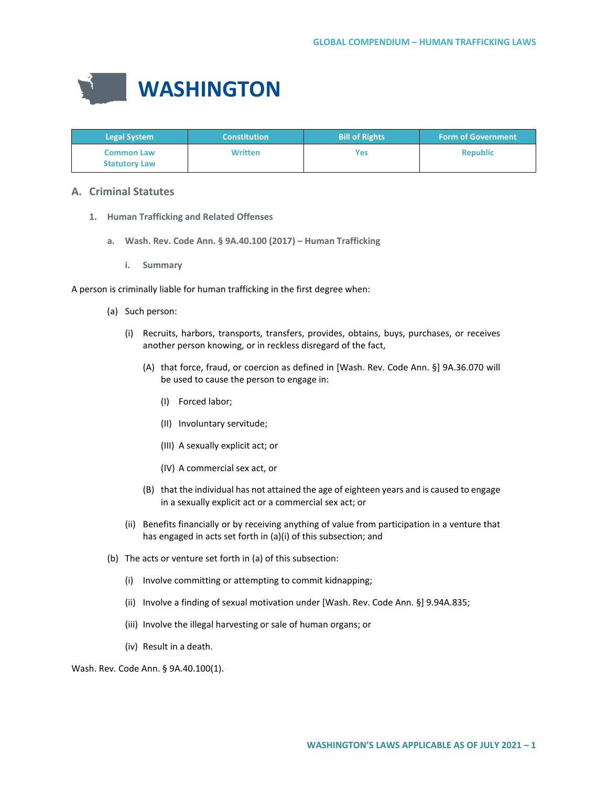

| <b>Legal System</b>                       | <b>Constitution</b> | <b>Bill of Rights</b> | <b>Form of Government</b> |
|-------------------------------------------|---------------------|-----------------------|---------------------------|
| <b>Common Law</b><br><b>Statutory Law</b> | <b>Written</b>      | Yes                   | <b>Republic</b>           |

# **A. Criminal Statutes**

- **1. Human Trafficking and Related Offenses**
	- **a. Wash. Rev. Code Ann. § 9A.40.100 (2017) Human Trafficking**
		- **i. Summary**

A person is criminally liable for human trafficking in the first degree when:

- (a) Such person:
	- (i) Recruits, harbors, transports, transfers, provides, obtains, buys, purchases, or receives another person knowing, or in reckless disregard of the fact,
		- (A) that force, fraud, or coercion as defined in [Wash. Rev. Code Ann. §] 9A.36.070 will be used to cause the person to engage in:
			- (I) Forced labor;
			- (II) Involuntary servitude;
			- (III) A sexually explicit act; or
			- (IV) A commercial sex act, or
		- (B) that the individual has not attained the age of eighteen years and is caused to engage in a sexually explicit act or a commercial sex act; or
	- (ii) Benefits financially or by receiving anything of value from participation in a venture that has engaged in acts set forth in (a)(i) of this subsection; and
- (b) The acts or venture set forth in (a) of this subsection:
	- (i) Involve committing or attempting to commit kidnapping;
	- (ii) Involve a finding of sexual motivation under [Wash. Rev. Code Ann. §] 9.94A.835;
	- (iii) Involve the illegal harvesting or sale of human organs; or
	- (iv) Result in a death.

Wash. Rev. Code Ann. § 9A.40.100(1).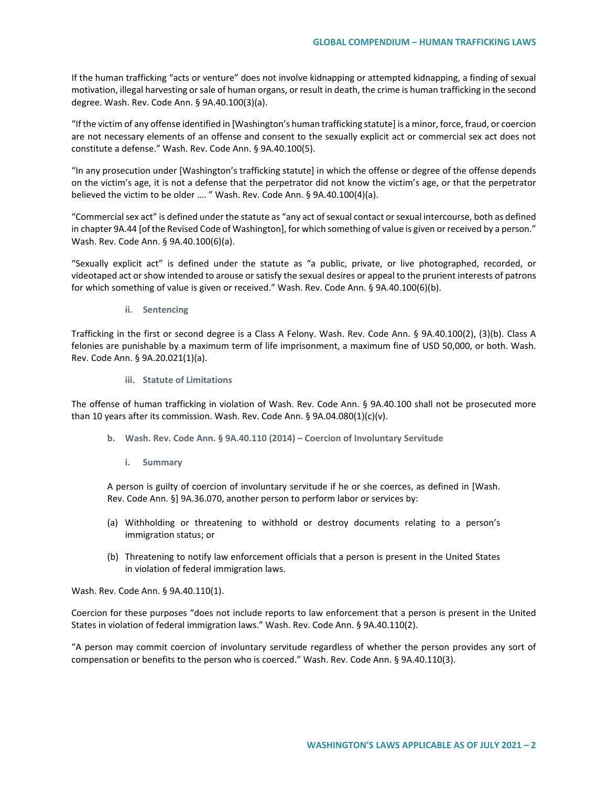If the human trafficking "acts or venture" does not involve kidnapping or attempted kidnapping, a finding of sexual motivation, illegal harvesting or sale of human organs, or result in death, the crime is human trafficking in the second degree. Wash. Rev. Code Ann. § 9A.40.100(3)(a).

"If the victim of any offense identified in [Washington's human trafficking statute] is a minor, force, fraud, or coercion are not necessary elements of an offense and consent to the sexually explicit act or commercial sex act does not constitute a defense." Wash. Rev. Code Ann. § 9A.40.100(5).

"In any prosecution under [Washington's trafficking statute] in which the offense or degree of the offense depends on the victim's age, it is not a defense that the perpetrator did not know the victim's age, or that the perpetrator believed the victim to be older …. " Wash. Rev. Code Ann. § 9A.40.100(4)(a).

"Commercial sex act" is defined under the statute as "any act of sexual contact or sexual intercourse, both as defined in chapter 9A.44 [of the Revised Code of Washington], for which something of value is given or received by a person." Wash. Rev. Code Ann. § 9A.40.100(6)(a).

"Sexually explicit act" is defined under the statute as "a public, private, or live photographed, recorded, or videotaped act or show intended to arouse or satisfy the sexual desires or appeal to the prurient interests of patrons for which something of value is given or received." Wash. Rev. Code Ann. § 9A.40.100(6)(b).

**ii. Sentencing**

Trafficking in the first or second degree is a Class A Felony. Wash. Rev. Code Ann. § 9A.40.100(2), (3)(b). Class A felonies are punishable by a maximum term of life imprisonment, a maximum fine of USD 50,000, or both. Wash. Rev. Code Ann. § 9A.20.021(1)(a).

**iii. Statute of Limitations**

The offense of human trafficking in violation of Wash. Rev. Code Ann. § 9A.40.100 shall not be prosecuted more than 10 years after its commission. Wash. Rev. Code Ann. §  $9A.04.080(1)(c)(v)$ .

- **b. Wash. Rev. Code Ann. § 9A.40.110 (2014) – Coercion of Involuntary Servitude** 
	- **i. Summary**

A person is guilty of coercion of involuntary servitude if he or she coerces, as defined in [Wash. Rev. Code Ann. §] 9A.36.070, another person to perform labor or services by:

- (a) Withholding or threatening to withhold or destroy documents relating to a person's immigration status; or
- (b) Threatening to notify law enforcement officials that a person is present in the United States in violation of federal immigration laws.

Wash. Rev. Code Ann. § 9A.40.110(1).

Coercion for these purposes "does not include reports to law enforcement that a person is present in the United States in violation of federal immigration laws." Wash. Rev. Code Ann. § 9A.40.110(2).

"A person may commit coercion of involuntary servitude regardless of whether the person provides any sort of compensation or benefits to the person who is coerced." Wash. Rev. Code Ann. § 9A.40.110(3).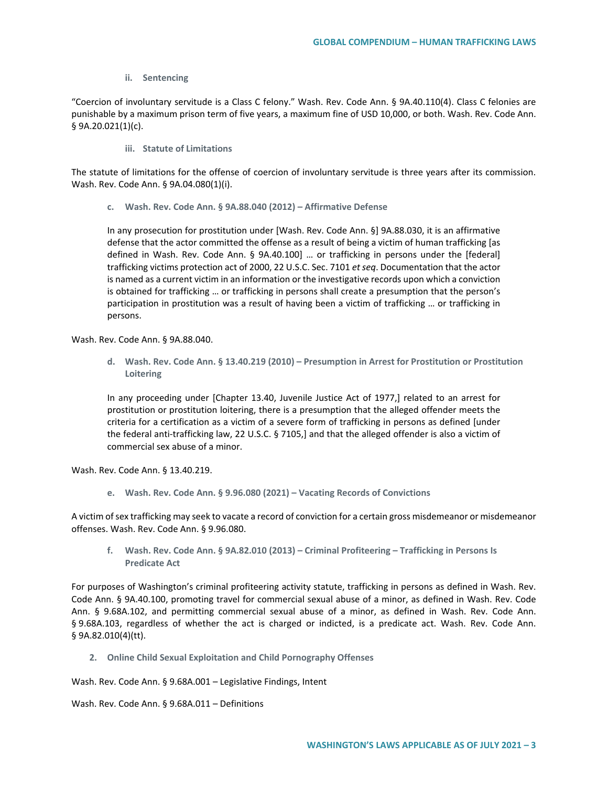### **ii. Sentencing**

"Coercion of involuntary servitude is a Class C felony." Wash. Rev. Code Ann. § 9A.40.110(4). Class C felonies are punishable by a maximum prison term of five years, a maximum fine of USD 10,000, or both. Wash. Rev. Code Ann. § 9A.20.021(1)(c).

**iii. Statute of Limitations**

The statute of limitations for the offense of coercion of involuntary servitude is three years after its commission. Wash. Rev. Code Ann. § 9A.04.080(1)(i).

**c. Wash. Rev. Code Ann. § 9A.88.040 (2012) – Affirmative Defense** 

In any prosecution for prostitution under [Wash. Rev. Code Ann. §] 9A.88.030, it is an affirmative defense that the actor committed the offense as a result of being a victim of human trafficking [as defined in Wash. Rev. Code Ann. § 9A.40.100] … or trafficking in persons under the [federal] trafficking victims protection act of 2000, 22 U.S.C. Sec. 7101 *et seq*. Documentation that the actor is named as a current victim in an information or the investigative records upon which a conviction is obtained for trafficking … or trafficking in persons shall create a presumption that the person's participation in prostitution was a result of having been a victim of trafficking … or trafficking in persons.

Wash. Rev. Code Ann. § 9A.88.040.

**d. Wash. Rev. Code Ann. § 13.40.219 (2010) – Presumption in Arrest for Prostitution or Prostitution Loitering** 

In any proceeding under [Chapter 13.40, Juvenile Justice Act of 1977,] related to an arrest for prostitution or prostitution loitering, there is a presumption that the alleged offender meets the criteria for a certification as a victim of a severe form of trafficking in persons as defined [under the federal anti-trafficking law, 22 U.S.C. § 7105,] and that the alleged offender is also a victim of commercial sex abuse of a minor.

Wash. Rev. Code Ann. § 13.40.219.

**e. Wash. Rev. Code Ann. § 9.96.080 (2021) – Vacating Records of Convictions** 

A victim of sex trafficking may seek to vacate a record of conviction for a certain gross misdemeanor or misdemeanor offenses. Wash. Rev. Code Ann. § 9.96.080.

**f. Wash. Rev. Code Ann. § 9A.82.010 (2013) – Criminal Profiteering – Trafficking in Persons Is Predicate Act**

For purposes of Washington's criminal profiteering activity statute, trafficking in persons as defined in Wash. Rev. Code Ann. § 9A.40.100, promoting travel for commercial sexual abuse of a minor, as defined in Wash. Rev. Code Ann. § 9.68A.102, and permitting commercial sexual abuse of a minor, as defined in Wash. Rev. Code Ann. § 9.68A.103, regardless of whether the act is charged or indicted, is a predicate act. Wash. Rev. Code Ann. § 9A.82.010(4)(tt).

**2. Online Child Sexual Exploitation and Child Pornography Offenses**

Wash. Rev. Code Ann. § 9.68A.001 – Legislative Findings, Intent

Wash. Rev. Code Ann. § 9.68A.011 – Definitions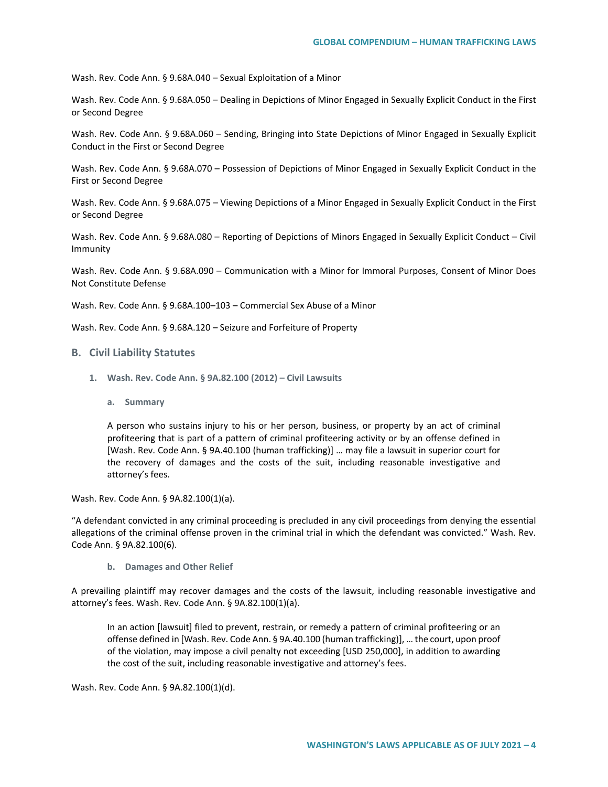Wash. Rev. Code Ann. § 9.68A.040 – Sexual Exploitation of a Minor

Wash. Rev. Code Ann. § 9.68A.050 – Dealing in Depictions of Minor Engaged in Sexually Explicit Conduct in the First or Second Degree

Wash. Rev. Code Ann. § 9.68A.060 – Sending, Bringing into State Depictions of Minor Engaged in Sexually Explicit Conduct in the First or Second Degree

Wash. Rev. Code Ann. § 9.68A.070 – Possession of Depictions of Minor Engaged in Sexually Explicit Conduct in the First or Second Degree

Wash. Rev. Code Ann. § 9.68A.075 – Viewing Depictions of a Minor Engaged in Sexually Explicit Conduct in the First or Second Degree

Wash. Rev. Code Ann. § 9.68A.080 – Reporting of Depictions of Minors Engaged in Sexually Explicit Conduct – Civil Immunity

Wash. Rev. Code Ann. § 9.68A.090 – Communication with a Minor for Immoral Purposes, Consent of Minor Does Not Constitute Defense

Wash. Rev. Code Ann. § 9.68A.100–103 – Commercial Sex Abuse of a Minor

Wash. Rev. Code Ann. § 9.68A.120 – Seizure and Forfeiture of Property

#### **B. Civil Liability Statutes**

- **1. Wash. Rev. Code Ann. § 9A.82.100 (2012) – Civil Lawsuits**
	- **a. Summary**

A person who sustains injury to his or her person, business, or property by an act of criminal profiteering that is part of a pattern of criminal profiteering activity or by an offense defined in [Wash. Rev. Code Ann. § 9A.40.100 (human trafficking)] … may file a lawsuit in superior court for the recovery of damages and the costs of the suit, including reasonable investigative and attorney's fees.

Wash. Rev. Code Ann. § 9A.82.100(1)(a).

"A defendant convicted in any criminal proceeding is precluded in any civil proceedings from denying the essential allegations of the criminal offense proven in the criminal trial in which the defendant was convicted." Wash. Rev. Code Ann. § 9A.82.100(6).

**b. Damages and Other Relief**

A prevailing plaintiff may recover damages and the costs of the lawsuit, including reasonable investigative and attorney's fees. Wash. Rev. Code Ann. § 9A.82.100(1)(a).

In an action [lawsuit] filed to prevent, restrain, or remedy a pattern of criminal profiteering or an offense defined in [Wash. Rev. Code Ann. § 9A.40.100 (human trafficking)], … the court, upon proof of the violation, may impose a civil penalty not exceeding [USD 250,000], in addition to awarding the cost of the suit, including reasonable investigative and attorney's fees.

Wash. Rev. Code Ann. § 9A.82.100(1)(d).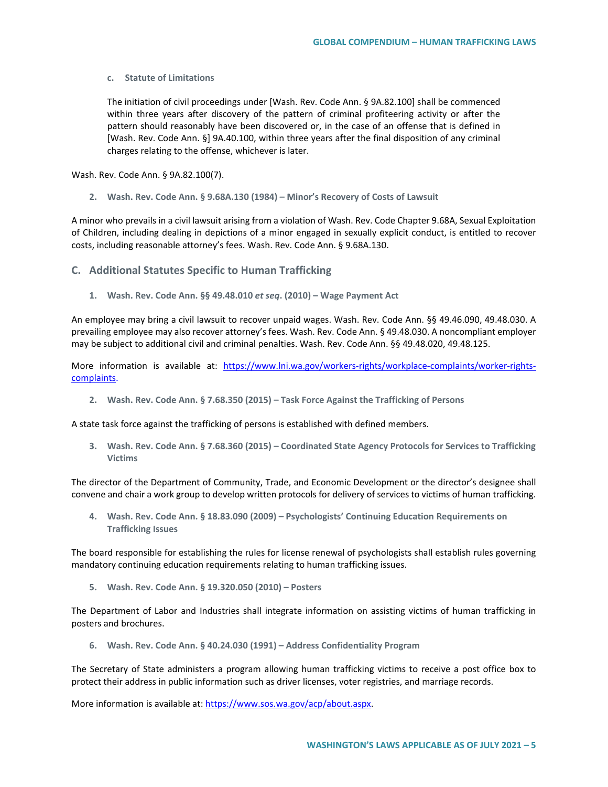### **c. Statute of Limitations**

The initiation of civil proceedings under [Wash. Rev. Code Ann. § 9A.82.100] shall be commenced within three years after discovery of the pattern of criminal profiteering activity or after the pattern should reasonably have been discovered or, in the case of an offense that is defined in [Wash. Rev. Code Ann. §] 9A.40.100, within three years after the final disposition of any criminal charges relating to the offense, whichever is later.

Wash. Rev. Code Ann. § 9A.82.100(7).

**2. Wash. Rev. Code Ann. § 9.68A.130 (1984) – Minor's Recovery of Costs of Lawsuit** 

A minor who prevails in a civil lawsuit arising from a violation of Wash. Rev. Code Chapter 9.68A, Sexual Exploitation of Children, including dealing in depictions of a minor engaged in sexually explicit conduct, is entitled to recover costs, including reasonable attorney's fees. Wash. Rev. Code Ann. § 9.68A.130.

# **C. Additional Statutes Specific to Human Trafficking**

**1. Wash. Rev. Code Ann. §§ 49.48.010** *et seq***. (2010) – Wage Payment Act** 

An employee may bring a civil lawsuit to recover unpaid wages. Wash. Rev. Code Ann. §§ 49.46.090, 49.48.030. A prevailing employee may also recover attorney's fees. Wash. Rev. Code Ann. § 49.48.030. A noncompliant employer may be subject to additional civil and criminal penalties. Wash. Rev. Code Ann. §§ 49.48.020, 49.48.125.

More information is available at: [https://www.lni.wa.gov/workers-rights/workplace-complaints/worker-rights](https://www.lni.wa.gov/workers-rights/workplace-complaints/worker-rights-complaints)[complaints.](https://www.lni.wa.gov/workers-rights/workplace-complaints/worker-rights-complaints)

**2. Wash. Rev. Code Ann. § 7.68.350 (2015) – Task Force Against the Trafficking of Persons**

A state task force against the trafficking of persons is established with defined members.

**3. Wash. Rev. Code Ann. § 7.68.360 (2015) – Coordinated State Agency Protocols for Services to Trafficking Victims** 

The director of the Department of Community, Trade, and Economic Development or the director's designee shall convene and chair a work group to develop written protocols for delivery of services to victims of human trafficking.

**4. Wash. Rev. Code Ann. § 18.83.090 (2009) – Psychologists' Continuing Education Requirements on Trafficking Issues** 

The board responsible for establishing the rules for license renewal of psychologists shall establish rules governing mandatory continuing education requirements relating to human trafficking issues.

**5. Wash. Rev. Code Ann. § 19.320.050 (2010) – Posters**

The Department of Labor and Industries shall integrate information on assisting victims of human trafficking in posters and brochures.

**6. Wash. Rev. Code Ann. § 40.24.030 (1991) – Address Confidentiality Program**

The Secretary of State administers a program allowing human trafficking victims to receive a post office box to protect their address in public information such as driver licenses, voter registries, and marriage records.

More information is available at: [https://www.sos.wa.gov/acp/about.aspx.](https://www.sos.wa.gov/acp/about.aspx)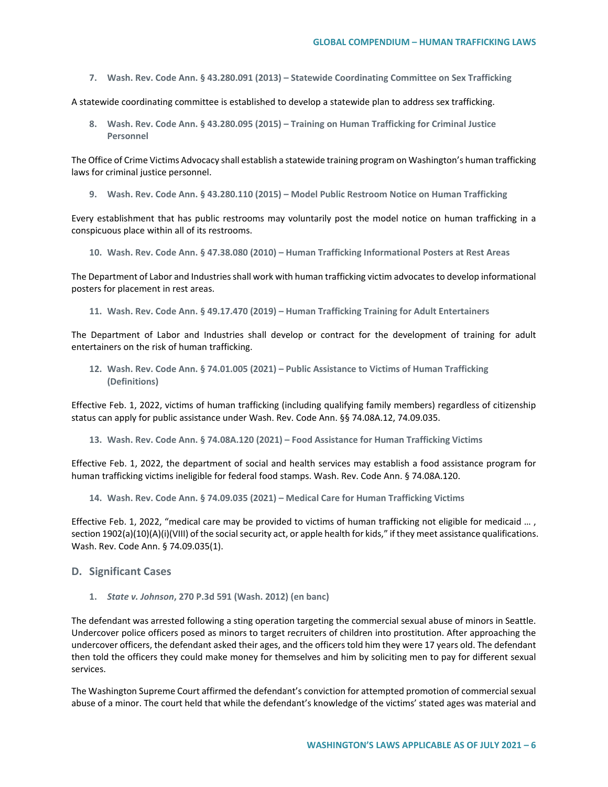**7. Wash. Rev. Code Ann. § 43.280.091 (2013) – Statewide Coordinating Committee on Sex Trafficking**

A statewide coordinating committee is established to develop a statewide plan to address sex trafficking.

**8. Wash. Rev. Code Ann. § 43.280.095 (2015) – Training on Human Trafficking for Criminal Justice Personnel**

The Office of Crime Victims Advocacy shall establish a statewide training program on Washington's human trafficking laws for criminal justice personnel.

**9. Wash. Rev. Code Ann. § 43.280.110 (2015) – Model Public Restroom Notice on Human Trafficking** 

Every establishment that has public restrooms may voluntarily post the model notice on human trafficking in a conspicuous place within all of its restrooms.

**10. Wash. Rev. Code Ann. § 47.38.080 (2010) – Human Trafficking Informational Posters at Rest Areas**

The Department of Labor and Industries shall work with human trafficking victim advocates to develop informational posters for placement in rest areas.

**11. Wash. Rev. Code Ann. § 49.17.470 (2019) – Human Trafficking Training for Adult Entertainers** 

The Department of Labor and Industries shall develop or contract for the development of training for adult entertainers on the risk of human trafficking.

**12. Wash. Rev. Code Ann. § 74.01.005 (2021) – Public Assistance to Victims of Human Trafficking (Definitions)**

Effective Feb. 1, 2022, victims of human trafficking (including qualifying family members) regardless of citizenship status can apply for public assistance under Wash. Rev. Code Ann. §§ 74.08A.12, 74.09.035.

**13. Wash. Rev. Code Ann. § 74.08A.120 (2021) – Food Assistance for Human Trafficking Victims**

Effective Feb. 1, 2022, the department of social and health services may establish a food assistance program for human trafficking victims ineligible for federal food stamps. Wash. Rev. Code Ann. § 74.08A.120.

**14. Wash. Rev. Code Ann. § 74.09.035 (2021) – Medical Care for Human Trafficking Victims**

Effective Feb. 1, 2022, "medical care may be provided to victims of human trafficking not eligible for medicaid …, section 1902(a)(10)(A)(i)(VIII) of the social security act, or apple health for kids," if they meet assistance qualifications. Wash. Rev. Code Ann. § 74.09.035(1).

#### **D. Significant Cases**

**1.** *State v. Johnson***, 270 P.3d 591 (Wash. 2012) (en banc)**

The defendant was arrested following a sting operation targeting the commercial sexual abuse of minors in Seattle. Undercover police officers posed as minors to target recruiters of children into prostitution. After approaching the undercover officers, the defendant asked their ages, and the officers told him they were 17 years old. The defendant then told the officers they could make money for themselves and him by soliciting men to pay for different sexual services.

The Washington Supreme Court affirmed the defendant's conviction for attempted promotion of commercial sexual abuse of a minor. The court held that while the defendant's knowledge of the victims' stated ages was material and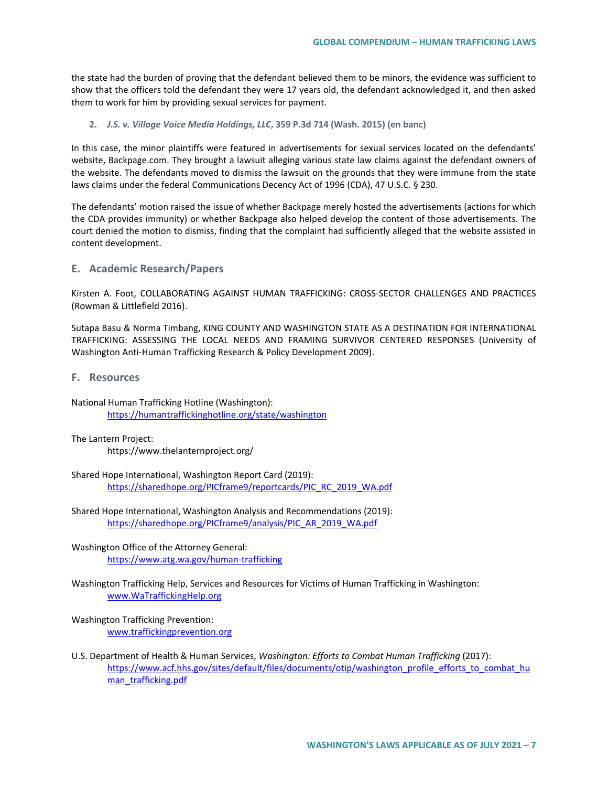the state had the burden of proving that the defendant believed them to be minors, the evidence was sufficient to show that the officers told the defendant they were 17 years old, the defendant acknowledged it, and then asked them to work for him by providing sexual services for payment.

### **2.** *J.S. v. Village Voice Media Holdings, LLC***, 359 P.3d 714 (Wash. 2015) (en banc)**

In this case, the minor plaintiffs were featured in advertisements for sexual services located on the defendants' website, Backpage.com. They brought a lawsuit alleging various state law claims against the defendant owners of the website. The defendants moved to dismiss the lawsuit on the grounds that they were immune from the state laws claims under the federal Communications Decency Act of 1996 (CDA), 47 U.S.C. § 230.

The defendants' motion raised the issue of whether Backpage merely hosted the advertisements (actions for which the CDA provides immunity) or whether Backpage also helped develop the content of those advertisements. The court denied the motion to dismiss, finding that the complaint had sufficiently alleged that the website assisted in content development.

# **E. Academic Research/Papers**

Kirsten A. Foot, COLLABORATING AGAINST HUMAN TRAFFICKING: CROSS-SECTOR CHALLENGES AND PRACTICES (Rowman & Littlefield 2016).

Sutapa Basu & Norma Timbang, KING COUNTY AND WASHINGTON STATE AS A DESTINATION FOR INTERNATIONAL TRAFFICKING: ASSESSING THE LOCAL NEEDS AND FRAMING SURVIVOR CENTERED RESPONSES (University of Washington Anti-Human Trafficking Research & Policy Development 2009).

**F. Resources**

National Human Trafficking Hotline (Washington): <https://humantraffickinghotline.org/state/washington>

The Lantern Project:

https://www.thelanternproject.org/

Shared Hope International, Washington Report Card (2019): [https://sharedhope.org/PICframe9/reportcards/PIC\\_RC\\_2019\\_WA.pdf](https://sharedhope.org/PICframe9/reportcards/PIC_RC_2019_WA.pdf)

Shared Hope International, Washington Analysis and Recommendations (2019): [https://sharedhope.org/PICframe9/analysis/PIC\\_AR\\_2019\\_WA.pdf](https://sharedhope.org/PICframe9/analysis/PIC_AR_2019_WA.pdf)

Washington Office of the Attorney General: <https://www.atg.wa.gov/human-trafficking>

Washington Trafficking Help, Services and Resources for Victims of Human Trafficking in Washington: [www.WaTraffickingHelp.org](http://www.watraffickinghelp.org/)

### Washington Trafficking Prevention: [www.traffickingprevention.org](http://www.traffickingprevention.org/)

U.S. Department of Health & Human Services, *Washington: Efforts to Combat Human Trafficking* (2017): [https://www.acf.hhs.gov/sites/default/files/documents/otip/washington\\_profile\\_efforts\\_to\\_combat\\_hu](https://www.acf.hhs.gov/sites/default/files/documents/otip/washington_profile_efforts_to_combat_human_trafficking.pdf) [man\\_trafficking.pdf](https://www.acf.hhs.gov/sites/default/files/documents/otip/washington_profile_efforts_to_combat_human_trafficking.pdf)